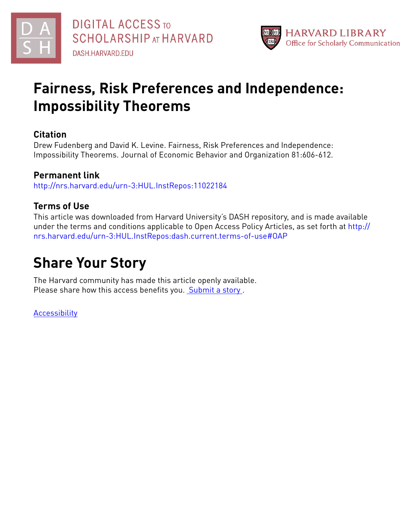



# **Fairness, Risk Preferences and Independence: Impossibility Theorems**

# **Citation**

Drew Fudenberg and David K. Levine. Fairness, Risk Preferences and Independence: Impossibility Theorems. Journal of Economic Behavior and Organization 81:606-612.

# **Permanent link**

<http://nrs.harvard.edu/urn-3:HUL.InstRepos:11022184>

# **Terms of Use**

This article was downloaded from Harvard University's DASH repository, and is made available under the terms and conditions applicable to Open Access Policy Articles, as set forth at [http://](http://nrs.harvard.edu/urn-3:HUL.InstRepos:dash.current.terms-of-use#OAP) [nrs.harvard.edu/urn-3:HUL.InstRepos:dash.current.terms-of-use#OAP](http://nrs.harvard.edu/urn-3:HUL.InstRepos:dash.current.terms-of-use#OAP)

# **Share Your Story**

The Harvard community has made this article openly available. Please share how this access benefits you. [Submit](http://osc.hul.harvard.edu/dash/open-access-feedback?handle=&title=Fairness,%20Risk%20Preferences%20and%20Independence:%20%20Impossibility%20Theorems&community=1/1&collection=1/2&owningCollection1/2&harvardAuthors=7fa4aac04d26bfb5f5277494428f2d01&departmentEconomics) a story.

[Accessibility](https://dash.harvard.edu/pages/accessibility)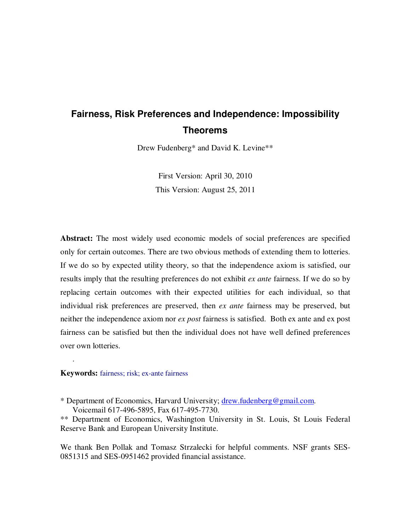# **Fairness, Risk Preferences and Independence: Impossibility Theorems**

Drew Fudenberg\* and David K. Levine\*\*

First Version: April 30, 2010 This Version: August 25, 2011

**Abstract:** The most widely used economic models of social preferences are specified only for certain outcomes. There are two obvious methods of extending them to lotteries. If we do so by expected utility theory, so that the independence axiom is satisfied, our results imply that the resulting preferences do not exhibit *ex ante* fairness. If we do so by replacing certain outcomes with their expected utilities for each individual, so that individual risk preferences are preserved, then *ex ante* fairness may be preserved, but neither the independence axiom nor *ex post* fairness is satisfied. Both ex ante and ex post fairness can be satisfied but then the individual does not have well defined preferences over own lotteries.

## **Keywords:** fairness; risk; ex-ante fairness

.

We thank Ben Pollak and Tomasz Strzalecki for helpful comments. NSF grants SES-0851315 and SES-0951462 provided financial assistance.

<sup>\*</sup> Department of Economics, Harvard University; drew.fudenberg@gmail.com. Voicemail 617-496-5895, Fax 617-495-7730.

<sup>\*\*</sup> Department of Economics, Washington University in St. Louis, St Louis Federal Reserve Bank and European University Institute.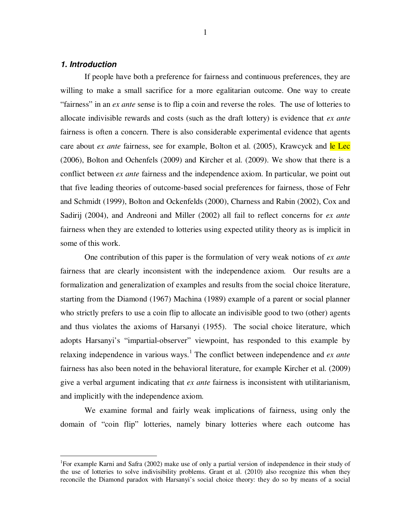## **1. Introduction**

 $\overline{a}$ 

If people have both a preference for fairness and continuous preferences, they are willing to make a small sacrifice for a more egalitarian outcome. One way to create "fairness" in an *ex ante* sense is to flip a coin and reverse the roles. The use of lotteries to allocate indivisible rewards and costs (such as the draft lottery) is evidence that *ex ante* fairness is often a concern. There is also considerable experimental evidence that agents care about *ex ante* fairness, see for example, Bolton et al. (2005), Krawcyck and le Lec (2006), Bolton and Ochenfels (2009) and Kircher et al. (2009). We show that there is a conflict between *ex ante* fairness and the independence axiom. In particular, we point out that five leading theories of outcome-based social preferences for fairness, those of Fehr and Schmidt (1999), Bolton and Ockenfelds (2000), Charness and Rabin (2002), Cox and Sadirij (2004), and Andreoni and Miller (2002) all fail to reflect concerns for *ex ante* fairness when they are extended to lotteries using expected utility theory as is implicit in some of this work.

One contribution of this paper is the formulation of very weak notions of *ex ante* fairness that are clearly inconsistent with the independence axiom. Our results are a formalization and generalization of examples and results from the social choice literature, starting from the Diamond (1967) Machina (1989) example of a parent or social planner who strictly prefers to use a coin flip to allocate an indivisible good to two (other) agents and thus violates the axioms of Harsanyi (1955). The social choice literature, which adopts Harsanyi's "impartial-observer" viewpoint, has responded to this example by relaxing independence in various ways.<sup>1</sup> The conflict between independence and *ex ante* fairness has also been noted in the behavioral literature, for example Kircher et al. (2009) give a verbal argument indicating that *ex ante* fairness is inconsistent with utilitarianism, and implicitly with the independence axiom.

We examine formal and fairly weak implications of fairness, using only the domain of "coin flip" lotteries, namely binary lotteries where each outcome has

<sup>&</sup>lt;sup>1</sup>For example Karni and Safra (2002) make use of only a partial version of independence in their study of the use of lotteries to solve indivisibility problems. Grant et al. (2010) also recognize this when they reconcile the Diamond paradox with Harsanyi's social choice theory: they do so by means of a social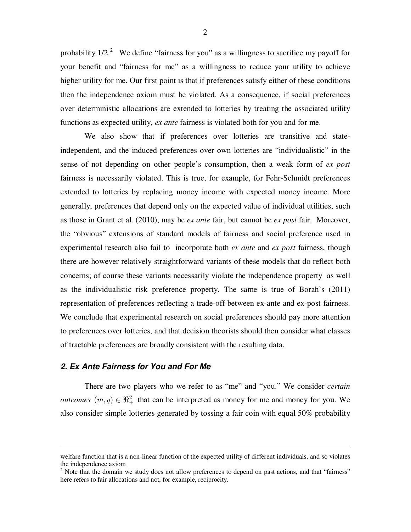probability  $1/2$ .<sup>2</sup> We define "fairness for you" as a willingness to sacrifice my payoff for your benefit and "fairness for me" as a willingness to reduce your utility to achieve higher utility for me. Our first point is that if preferences satisfy either of these conditions then the independence axiom must be violated. As a consequence, if social preferences over deterministic allocations are extended to lotteries by treating the associated utility functions as expected utility, *ex ante* fairness is violated both for you and for me.

We also show that if preferences over lotteries are transitive and stateindependent, and the induced preferences over own lotteries are "individualistic" in the sense of not depending on other people's consumption, then a weak form of *ex post*  fairness is necessarily violated. This is true, for example, for Fehr-Schmidt preferences extended to lotteries by replacing money income with expected money income. More generally, preferences that depend only on the expected value of individual utilities, such as those in Grant et al. (2010), may be *ex ante* fair, but cannot be *ex post* fair. Moreover, the "obvious" extensions of standard models of fairness and social preference used in experimental research also fail to incorporate both *ex ante* and *ex post* fairness, though there are however relatively straightforward variants of these models that do reflect both concerns; of course these variants necessarily violate the independence property as well as the individualistic risk preference property. The same is true of Borah's (2011) representation of preferences reflecting a trade-off between ex-ante and ex-post fairness. We conclude that experimental research on social preferences should pay more attention to preferences over lotteries, and that decision theorists should then consider what classes of tractable preferences are broadly consistent with the resulting data.

### **2. Ex Ante Fairness for You and For Me**

 $\overline{a}$ 

There are two players who we refer to as "me" and "you." We consider *certain outcomes*  $(m, y) \in \mathbb{R}^2_+$  that can be interpreted as money for me and money for you. We also consider simple lotteries generated by tossing a fair coin with equal 50% probability

welfare function that is a non-linear function of the expected utility of different individuals, and so violates the independence axiom

 $2$  Note that the domain we study does not allow preferences to depend on past actions, and that "fairness" here refers to fair allocations and not, for example, reciprocity.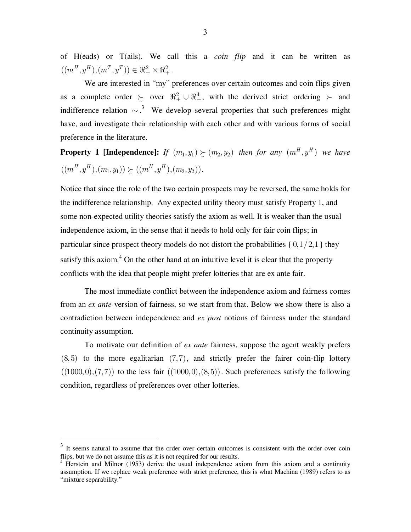of H(eads) or T(ails). We call this a *coin flip* and it can be written as  $((m^H, y^H), (m^T, y^T)) \in \Re^2_+ \times \Re^2_+.$ 

We are interested in "my" preferences over certain outcomes and coin flips given as a complete order  $\succcurlyeq$  over  $\mathbb{R}^2_+ \cup \mathbb{R}^4_+$ , with the derived strict ordering  $\succ$  and indifference relation  $\sim$ .<sup>3</sup> We develop several properties that such preferences might have, and investigate their relationship with each other and with various forms of social preference in the literature.

**Property 1 [Independence]:** If  $(m_1, y_1) \ge (m_2, y_2)$  then for any  $(m^H, y^H)$  we have  $((m^H, y^H), (m_1, y_1)) \succeq ((m^H, y^H), (m_2, y_2)).$ 

Notice that since the role of the two certain prospects may be reversed, the same holds for the indifference relationship. Any expected utility theory must satisfy Property 1, and some non-expected utility theories satisfy the axiom as well. It is weaker than the usual independence axiom, in the sense that it needs to hold only for fair coin flips; in particular since prospect theory models do not distort the probabilities  $\{0, 1/2, 1\}$  they satisfy this axiom.<sup>4</sup> On the other hand at an intuitive level it is clear that the property conflicts with the idea that people might prefer lotteries that are ex ante fair.

The most immediate conflict between the independence axiom and fairness comes from an *ex ante* version of fairness, so we start from that. Below we show there is also a contradiction between independence and *ex post* notions of fairness under the standard continuity assumption.

To motivate our definition of *ex ante* fairness, suppose the agent weakly prefers  $(8, 5)$  to the more egalitarian  $(7, 7)$ , and strictly prefer the fairer coin-flip lottery  $((1000, 0), (7, 7))$  to the less fair  $((1000, 0), (8, 5))$ . Such preferences satisfy the following condition, regardless of preferences over other lotteries.

 $\overline{a}$ 

 $3$  It seems natural to assume that the order over certain outcomes is consistent with the order over coin flips, but we do not assume this as it is not required for our results.

<sup>&</sup>lt;sup>4</sup> Herstein and Milnor (1953) derive the usual independence axiom from this axiom and a continuity assumption. If we replace weak preference with strict preference, this is what Machina (1989) refers to as "mixture separability."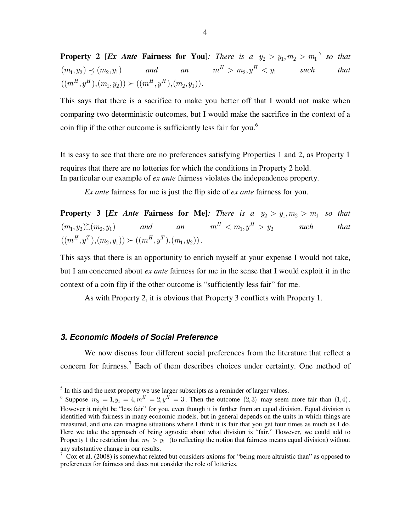**Property 2 [***Ex Ante* **Fairness for You]**: There is a  $y_2 > y_1, m_2 > m_1^5$  so that  $(m_1, y_2) \preceq (m_2, y_1)$ *an*  $m^H > m_2, y^H < y_1$  such that  $((m^H, y^H), (m_1, y_2)) \succ (m^H, y^H), (m_2, y_1)).$ 

This says that there is a sacrifice to make you better off that I would not make when comparing two deterministic outcomes, but I would make the sacrifice in the context of a coin flip if the other outcome is sufficiently less fair for you.<sup>6</sup>

It is easy to see that there are no preferences satisfying Properties 1 and 2, as Property 1 requires that there are no lotteries for which the conditions in Property 2 hold. In particular our example of *ex ante* fairness violates the independence property.

*Ex ante* fairness for me is just the flip side of *ex ante* fairness for you.

**Property 3 [***Ex Ante* **Fairness for Me]***: There is a*  $y_2 > y_1, m_2 > m_1$  *so that*  $(m_1, y_2) \gtrsim (m_2, y_1)$  and an  $m^H < m_1, y^H > y_2$  such that  $((m<sup>H</sup>, y<sup>T</sup>), (m<sub>2</sub>, y<sub>1</sub>)) \succ ((m<sup>H</sup>, y<sup>T</sup>), (m<sub>1</sub>, y<sub>2</sub>)).$ 

This says that there is an opportunity to enrich myself at your expense I would not take, but I am concerned about *ex ante* fairness for me in the sense that I would exploit it in the context of a coin flip if the other outcome is "sufficiently less fair" for me.

As with Property 2, it is obvious that Property 3 conflicts with Property 1.

# **3. Economic Models of Social Preference**

 $\overline{a}$ 

 We now discuss four different social preferences from the literature that reflect a concern for fairness.<sup>7</sup> Each of them describes choices under certainty. One method of

 $<sup>5</sup>$  In this and the next property we use larger subscripts as a reminder of larger values.</sup>

<sup>&</sup>lt;sup>6</sup> Suppose  $m_2 = 1, y_1 = 4, m^H = 2, y^H = 3$ . Then the outcome (2,3) may seem more fair than (1,4). However it might be "less fair" for you, even though it is farther from an equal division. Equal division *is*  identified with fairness in many economic models, but in general depends on the units in which things are measured, and one can imagine situations where I think it is fair that you get four times as much as I do. Here we take the approach of being agnostic about what division is "fair." However, we could add to Property 1 the restriction that  $m_2 > y_1$  (to reflecting the notion that fairness means equal division) without any substantive change in our results.

 $\frac{7}{1}$  Cox et al. (2008) is somewhat related but considers axioms for "being more altruistic than" as opposed to preferences for fairness and does not consider the role of lotteries.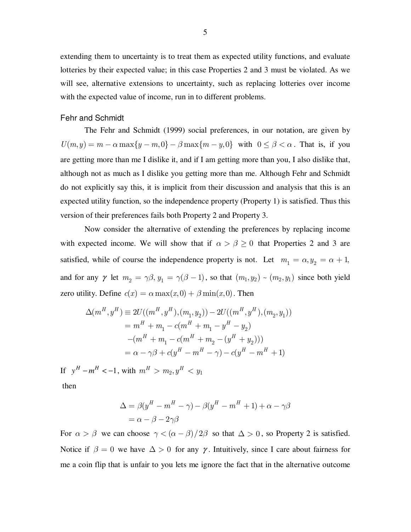extending them to uncertainty is to treat them as expected utility functions, and evaluate lotteries by their expected value; in this case Properties 2 and 3 must be violated. As we will see, alternative extensions to uncertainty, such as replacing lotteries over income with the expected value of income, run in to different problems.

# Fehr and Schmidt

 The Fehr and Schmidt (1999) social preferences, in our notation, are given by  $U(m, y) = m - \alpha \max\{y - m, 0\} - \beta \max\{m - y, 0\}$  with  $0 \le \beta < \alpha$ . That is, if you are getting more than me I dislike it, and if I am getting more than you, I also dislike that, although not as much as I dislike you getting more than me. Although Fehr and Schmidt do not explicitly say this, it is implicit from their discussion and analysis that this is an expected utility function, so the independence property (Property 1) is satisfied. Thus this version of their preferences fails both Property 2 and Property 3.

 Now consider the alternative of extending the preferences by replacing income with expected income. We will show that if  $\alpha > \beta \ge 0$  that Properties 2 and 3 are satisfied, while of course the independence property is not. Let  $m_1 = \alpha, y_2 = \alpha + 1$ , and for any  $\gamma$  let  $m_2 = \gamma \beta, y_1 = \gamma (\beta - 1)$ , so that  $(m_1, y_2) \sim (m_2, y_1)$  since both yield zero utility. Define  $c(x) = \alpha \max(x, 0) + \beta \min(x, 0)$ . Then

$$
\Delta(m^H, y^H) \equiv 2U((m^H, y^H), (m_1, y_2)) - 2U((m^H, y^H), (m_2, y_1))
$$
  
=  $m^H + m_1 - c(m^H + m_1 - y^H - y_2)$   
 $-(m^H + m_1 - c(m^H + m_2 - (y^H + y_2)))$   
=  $\alpha - \gamma \beta + c(y^H - m^H - \gamma) - c(y^H - m^H + 1)$ 

If  $y^H - m^H < -1$ , with  $m^H > m_2, y^H < y_1$ 

then

$$
\Delta = \beta(y^H - m^H - \gamma) - \beta(y^H - m^H + 1) + \alpha - \gamma\beta
$$
  
=  $\alpha - \beta - 2\gamma\beta$ 

For  $\alpha > \beta$  we can choose  $\gamma < (\alpha - \beta)/2\beta$  so that  $\Delta > 0$ , so Property 2 is satisfied. Notice if  $\beta = 0$  we have  $\Delta > 0$  for any  $\gamma$ . Intuitively, since I care about fairness for me a coin flip that is unfair to you lets me ignore the fact that in the alternative outcome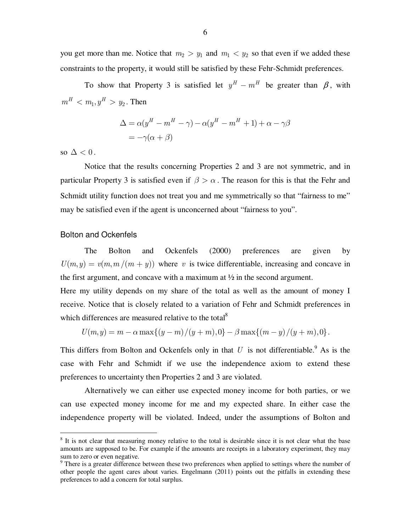you get more than me. Notice that  $m_2 > y_1$  and  $m_1 < y_2$  so that even if we added these constraints to the property, it would still be satisfied by these Fehr-Schmidt preferences.

To show that Property 3 is satisfied let  $y^H - m^H$  be greater than  $\beta$ , with  $m^H < m_1, y^H > y_2$ . Then

$$
\Delta = \alpha (y^H - m^H - \gamma) - \alpha (y^H - m^H + 1) + \alpha - \gamma \beta
$$
  
= -\gamma(\alpha + \beta)

so  $\Delta < 0$ .

 $\overline{a}$ 

 Notice that the results concerning Properties 2 and 3 are not symmetric, and in particular Property 3 is satisfied even if  $\beta > \alpha$ . The reason for this is that the Fehr and Schmidt utility function does not treat you and me symmetrically so that "fairness to me" may be satisfied even if the agent is unconcerned about "fairness to you".

#### Bolton and Ockenfels

 The Bolton and Ockenfels (2000) preferences are given by  $U(m, y) = v(m, m/(m + y))$  where *v* is twice differentiable, increasing and concave in the first argument, and concave with a maximum at  $\frac{1}{2}$  in the second argument.

Here my utility depends on my share of the total as well as the amount of money I receive. Notice that is closely related to a variation of Fehr and Schmidt preferences in which differences are measured relative to the total<sup>8</sup>

$$
U(m, y) = m - \alpha \max\{(y - m)/(y + m), 0\} - \beta \max\{(m - y)/(y + m), 0\}.
$$

This differs from Bolton and Ockenfels only in that  $U$  is not differentiable.<sup>9</sup> As is the case with Fehr and Schmidt if we use the independence axiom to extend these preferences to uncertainty then Properties 2 and 3 are violated.

Alternatively we can either use expected money income for both parties, or we can use expected money income for me and my expected share. In either case the independence property will be violated. Indeed, under the assumptions of Bolton and

<sup>&</sup>lt;sup>8</sup> It is not clear that measuring money relative to the total is desirable since it is not clear what the base amounts are supposed to be. For example if the amounts are receipts in a laboratory experiment, they may sum to zero or even negative.

 $9$  There is a greater difference between these two preferences when applied to settings where the number of other people the agent cares about varies. Engelmann (2011) points out the pitfalls in extending these preferences to add a concern for total surplus.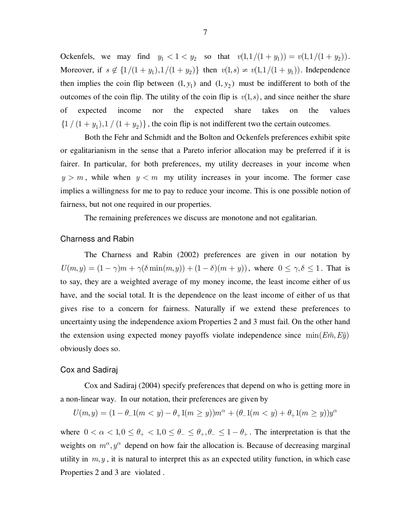Ockenfels, we may find  $y_1 < 1 < y_2$  so that  $v(1, 1/(1 + y_1)) = v(1, 1/(1 + y_2))$ . Moreover, if  $s \notin \{1/(1 + y_1), 1/(1 + y_2)\}\$  then  $v(1, s) \neq v(1, 1/(1 + y_1))$ . Independence then implies the coin flip between  $(1, y_1)$  and  $(1, y_2)$  must be indifferent to both of the outcomes of the coin flip. The utility of the coin flip is  $v(1, s)$ , and since neither the share of expected income nor the expected share takes on the values  $\{1 / (1 + y_1), 1 / (1 + y_2)\}\$ , the coin flip is not indifferent two the certain outcomes.

 Both the Fehr and Schmidt and the Bolton and Ockenfels preferences exhibit spite or egalitarianism in the sense that a Pareto inferior allocation may be preferred if it is fairer. In particular, for both preferences, my utility decreases in your income when  $y > m$ , while when  $y < m$  my utility increases in your income. The former case implies a willingness for me to pay to reduce your income. This is one possible notion of fairness, but not one required in our properties.

The remaining preferences we discuss are monotone and not egalitarian.

#### Charness and Rabin

 The Charness and Rabin (2002) preferences are given in our notation by  $U(m, y) = (1 - \gamma)m + \gamma(\delta \min(m, y)) + (1 - \delta)(m + y)$ , where  $0 \leq \gamma, \delta \leq 1$ . That is to say, they are a weighted average of my money income, the least income either of us have, and the social total. It is the dependence on the least income of either of us that gives rise to a concern for fairness. Naturally if we extend these preferences to uncertainty using the independence axiom Properties 2 and 3 must fail. On the other hand the extension using expected money payoffs violate independence since  $\min(E\tilde{m}, E\tilde{y})$ obviously does so.

#### Cox and Sadiraj

Cox and Sadiraj (2004) specify preferences that depend on who is getting more in a non-linear way. In our notation, their preferences are given by

 $U(m, y) = (1 - \theta_{-} 1(m < y) - \theta_{+} 1(m \ge y)) m^{\alpha} + (\theta_{-} 1(m < y) + \theta_{+} 1(m \ge y)) y^{\alpha}$ 

where  $0 < \alpha < 1, 0 \le \theta_{+} < 1, 0 \le \theta_{-} \le \theta_{+}, \theta_{-} \le 1 - \theta_{+}$ . The interpretation is that the weights on  $m^{\alpha}, y^{\alpha}$  depend on how fair the allocation is. Because of decreasing marginal utility in  $m, y$ , it is natural to interpret this as an expected utility function, in which case Properties 2 and 3 are violated .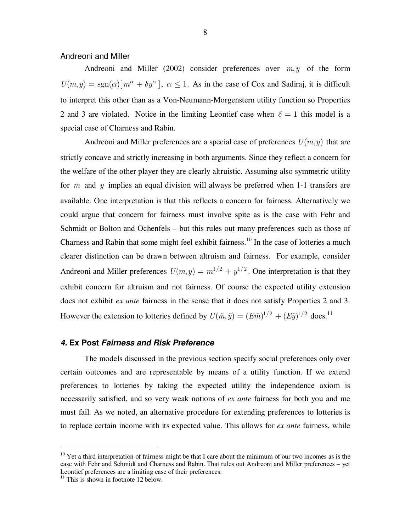# Andreoni and Miller

Andreoni and Miller (2002) consider preferences over  $m, y$  of the form  $U(m, y) = \text{sgn}(\alpha) [m^{\alpha} + \delta y^{\alpha}], \ \alpha \leq 1$ . As in the case of Cox and Sadiraj, it is difficult to interpret this other than as a Von-Neumann-Morgenstern utility function so Properties 2 and 3 are violated. Notice in the limiting Leontief case when  $\delta = 1$  this model is a special case of Charness and Rabin.

Andreoni and Miller preferences are a special case of preferences  $U(m, y)$  that are strictly concave and strictly increasing in both arguments. Since they reflect a concern for the welfare of the other player they are clearly altruistic. Assuming also symmetric utility for *m* and *y* implies an equal division will always be preferred when 1-1 transfers are available. One interpretation is that this reflects a concern for fairness. Alternatively we could argue that concern for fairness must involve spite as is the case with Fehr and Schmidt or Bolton and Ochenfels – but this rules out many preferences such as those of Charness and Rabin that some might feel exhibit fairness.<sup>10</sup> In the case of lotteries a much clearer distinction can be drawn between altruism and fairness. For example, consider Andreoni and Miller preferences  $U(m, y) = m^{1/2} + y^{1/2}$ . One interpretation is that they exhibit concern for altruism and not fairness. Of course the expected utility extension does not exhibit *ex ante* fairness in the sense that it does not satisfy Properties 2 and 3. However the extension to lotteries defined by  $U(\tilde{m}, \tilde{y}) = (E\tilde{m})^{1/2} + (E\tilde{y})^{1/2}$  does.<sup>11</sup>

#### **4. Ex Post Fairness and Risk Preference**

 The models discussed in the previous section specify social preferences only over certain outcomes and are representable by means of a utility function. If we extend preferences to lotteries by taking the expected utility the independence axiom is necessarily satisfied, and so very weak notions of *ex ante* fairness for both you and me must fail. As we noted, an alternative procedure for extending preferences to lotteries is to replace certain income with its expected value. This allows for *ex ante* fairness, while

 $\overline{a}$ 

 $10$  Yet a third interpretation of fairness might be that I care about the minimum of our two incomes as is the case with Fehr and Schmidt and Charness and Rabin. That rules out Andreoni and Miller preferences – yet Leontief preferences are a limiting case of their preferences.

 $11$  This is shown in footnote 12 below.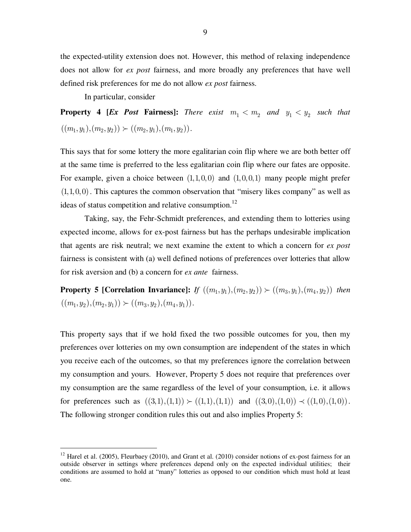the expected-utility extension does not. However, this method of relaxing independence does not allow for *ex post* fairness, and more broadly any preferences that have well defined risk preferences for me do not allow *ex post* fairness.

In particular, consider

 $\overline{a}$ 

**Property 4 [***Ex Post* **Fairness]:** There exist  $m_1 < m_2$  and  $y_1 < y_2$  such that  $((m_1, y_1), (m_2, y_2)) \succ ((m_2, y_1), (m_1, y_2)).$ 

This says that for some lottery the more egalitarian coin flip where we are both better off at the same time is preferred to the less egalitarian coin flip where our fates are opposite. For example, given a choice between  $(1,1,0,0)$  and  $(1,0,0,1)$  many people might prefer  $(1,1,0,0)$ . This captures the common observation that "misery likes company" as well as ideas of status competition and relative consumption.<sup>12</sup>

 Taking, say, the Fehr-Schmidt preferences, and extending them to lotteries using expected income, allows for ex-post fairness but has the perhaps undesirable implication that agents are risk neutral; we next examine the extent to which a concern for *ex post*  fairness is consistent with (a) well defined notions of preferences over lotteries that allow for risk aversion and (b) a concern for *ex ante* fairness.

**Property 5 [Correlation Invariance]:** If  $((m_1, y_1), (m_2, y_2)) \succ ((m_3, y_1), (m_4, y_2))$  then  $((m_1, y_2), (m_2, y_1)) \succ ((m_3, y_2), (m_4, y_1)).$ 

This property says that if we hold fixed the two possible outcomes for you, then my preferences over lotteries on my own consumption are independent of the states in which you receive each of the outcomes, so that my preferences ignore the correlation between my consumption and yours. However, Property 5 does not require that preferences over my consumption are the same regardless of the level of your consumption, i.e. it allows for preferences such as  $((3,1),(1,1)) \succ ((1,1),(1,1))$  and  $((3,0),(1,0)) \prec ((1,0),(1,0))$ . The following stronger condition rules this out and also implies Property 5:

 $12$  Harel et al. (2005), Fleurbaey (2010), and Grant et al. (2010) consider notions of ex-post fairness for an outside observer in settings where preferences depend only on the expected individual utilities; their conditions are assumed to hold at "many" lotteries as opposed to our condition which must hold at least one.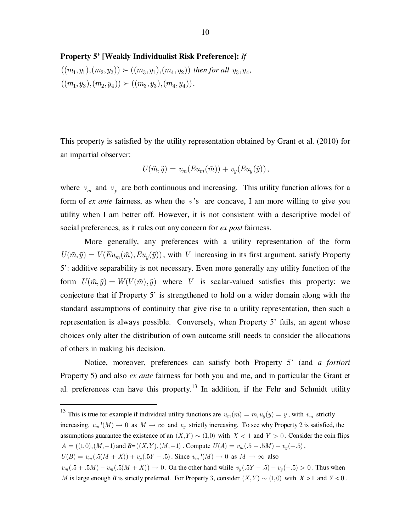**Property 5' [Weakly Individualist Risk Preference]:** *If* 

 $((m_1, y_1), (m_2, y_2)) \succ ((m_3, y_1), (m_4, y_2))$  then for all  $y_3, y_4$ ,  $((m_1, y_3), (m_2, y_4)) \succ ((m_3, y_3), (m_4, y_4)).$ 

This property is satisfied by the utility representation obtained by Grant et al. (2010) for an impartial observer:

$$
U(\tilde{m}, \tilde{y}) = v_m(Eu_m(\tilde{m})) + v_y(Eu_y(\tilde{y})),
$$

where  $v_m$  and  $v_y$  are both continuous and increasing. This utility function allows for a form of *ex ante* fairness, as when the *v* 's are concave, I am more willing to give you utility when I am better off. However, it is not consistent with a descriptive model of social preferences, as it rules out any concern for *ex post* fairness.

 More generally, any preferences with a utility representation of the form  $U(\tilde{m}, \tilde{y}) = V(Eu_m(\tilde{m}), Eu_n(\tilde{y}))$ , with *V* increasing in its first argument, satisfy Property 5': additive separability is not necessary. Even more generally any utility function of the form  $U(\tilde{m}, \tilde{y}) = W(V(\tilde{m}), \tilde{y})$  where *V* is scalar-valued satisfies this property: we conjecture that if Property 5' is strengthened to hold on a wider domain along with the standard assumptions of continuity that give rise to a utility representation, then such a representation is always possible. Conversely, when Property 5' fails, an agent whose choices only alter the distribution of own outcome still needs to consider the allocations of others in making his decision.

Notice, moreover, preferences can satisfy both Property 5' (and *a fortiori*  Property 5) and also *ex ante* fairness for both you and me, and in particular the Grant et al. preferences can have this property.<sup>13</sup> In addition, if the Fehr and Schmidt utility

 $\overline{a}$ 

<sup>&</sup>lt;sup>13</sup> This is true for example if individual utility functions are  $u_m(m) = m$ ,  $u_y(y) = y$ , with  $v_m$  strictly

increasing,  $v_m$  '(*M*)  $\rightarrow$  0 as *M*  $\rightarrow \infty$  and  $v_y$  strictly increasing. To see why Property 2 is satisfied, the assumptions guarantee the existence of an  $(X, Y) \sim (1, 0)$  with  $X < 1$  and  $Y > 0$ . Consider the coin flips  $A = ((1,0),(M,-1)$  and  $B=((X,Y),(M,-1))$ . Compute  $U(A) = v_m(.5+.5M) + v_y(-.5)$ ,

 $U(B) = v_m(.5(M + X)) + v_y(.5Y - .5)$ . Since  $v_m'(M) \to 0$  as  $M \to \infty$  also

 $v_m(.5 + .5M) - v_m(.5(M + X)) \to 0$ . On the other hand while  $v_y(.5Y - .5) - v_y(-.5) > 0$ . Thus when *M* is large enough *B* is strictly preferred. For Property 3, consider  $(X, Y) \sim (1, 0)$  with  $X > 1$  and  $Y < 0$ .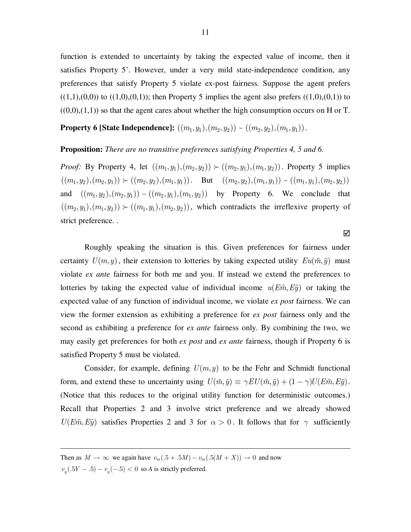function is extended to uncertainty by taking the expected value of income, then it satisfies Property 5'. However, under a very mild state-independence condition, any preferences that satisfy Property 5 violate ex-post fairness. Suppose the agent prefers  $((1,1),(0,0))$  to  $((1,0),(0,1))$ ; then Property 5 implies the agent also prefers  $((1,0),(0,1))$  to  $((0,0),(1,1))$  so that the agent cares about whether the high consumption occurs on H or T.

**Property 6 [State Independence]:**  $((m_1, y_1), (m_2, y_2)) \sim ((m_2, y_2), (m_1, y_1))$ .

#### **Proposition:** *There are no transitive preferences satisfying Properties 4, 5 and 6.*

*Proof:* By Property 4, let  $((m_1, y_1), (m_2, y_2)) \succ ((m_2, y_1), (m_1, y_2))$ . Property 5 implies  $((m_1, y_1), (m_2, y_1)) \succ ((m_2, y_2), (m_1, y_1))$ . But  $((m_2, y_2), (m_1, y_1)) \sim ((m_1, y_1), (m_2, y_2))$ and  $((m_1, y_2), (m_2, y_1)) \sim ((m_2, y_1), (m_1, y_2))$  by Property 6. We conclude that  $((m_2, y_1), (m_1, y_2)) \succ ((m_1, y_1), (m_2, y_2))$ , which contradicts the irreflexive property of strict preference. .

 Roughly speaking the situation is this. Given preferences for fairness under certainty  $U(m, y)$ , their extension to lotteries by taking expected utility  $Eu(\tilde{m}, \tilde{y})$  must violate *ex ante* fairness for both me and you. If instead we extend the preferences to lotteries by taking the expected value of individual income  $u(E\tilde{m}, E\tilde{y})$  or taking the expected value of any function of individual income, we violate *ex post* fairness. We can view the former extension as exhibiting a preference for *ex post* fairness only and the second as exhibiting a preference for *ex ante* fairness only. By combining the two, we may easily get preferences for both *ex post* and *ex ante* fairness, though if Property 6 is satisfied Property 5 must be violated.

Consider, for example, defining  $U(m, y)$  to be the Fehr and Schmidt functional form, and extend these to uncertainty using  $U(\tilde{m}, \tilde{y}) \equiv \gamma EU(\tilde{m}, \tilde{y}) + (1 - \gamma)U(E\tilde{m}, E\tilde{y})$ . (Notice that this reduces to the original utility function for deterministic outcomes.) Recall that Properties 2 and 3 involve strict preference and we already showed  $U(E\tilde{m}, E\tilde{y})$  satisfies Properties 2 and 3 for  $\alpha > 0$ . It follows that for  $\gamma$  sufficiently

Then as  $M \to \infty$  we again have  $v_m(.5+.5M) - v_m(.5(M + X)) \to 0$  and now  $v_y(.5Y - .5) - v_y(-.5) < 0$  so *A* is strictly preferred.

 $\overline{a}$ 

☑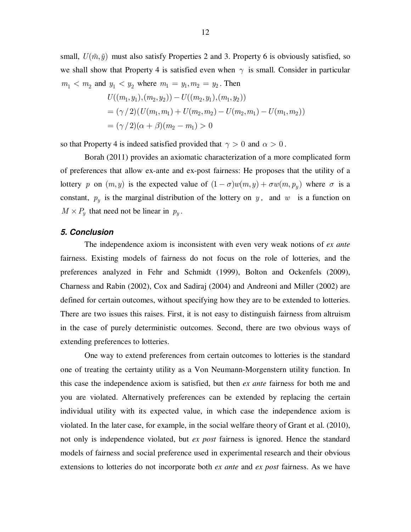small,  $U(\tilde{m}, \tilde{y})$  must also satisfy Properties 2 and 3. Property 6 is obviously satisfied, so we shall show that Property 4 is satisfied even when  $\gamma$  is small. Consider in particular  $m_1 < m_2$  and  $y_1 < y_2$  where  $m_1 = y_1, m_2 = y_2$ . Then

$$
U((m_1, y_1), (m_2, y_2)) - U((m_2, y_1), (m_1, y_2))
$$
  
=  $(\gamma / 2) (U(m_1, m_1) + U(m_2, m_2) - U(m_2, m_1) - U(m_1, m_2))$   
=  $(\gamma / 2)(\alpha + \beta)(m_2 - m_1) > 0$ 

so that Property 4 is indeed satisfied provided that  $\gamma > 0$  and  $\alpha > 0$ .

 Borah (2011) provides an axiomatic characterization of a more complicated form of preferences that allow ex-ante and ex-post fairness: He proposes that the utility of a lottery *p* on  $(m, y)$  is the expected value of  $(1 - \sigma)w(m, y) + \sigma w(m, p_y)$  where  $\sigma$  is a constant,  $p_y$  is the marginal distribution of the lottery on *y*, and *w* is a function on  $M \times P_y$  that need not be linear in  $p_y$ .

## **5. Conclusion**

The independence axiom is inconsistent with even very weak notions of *ex ante*  fairness. Existing models of fairness do not focus on the role of lotteries, and the preferences analyzed in Fehr and Schmidt (1999), Bolton and Ockenfels (2009), Charness and Rabin (2002), Cox and Sadiraj (2004) and Andreoni and Miller (2002) are defined for certain outcomes, without specifying how they are to be extended to lotteries. There are two issues this raises. First, it is not easy to distinguish fairness from altruism in the case of purely deterministic outcomes. Second, there are two obvious ways of extending preferences to lotteries.

One way to extend preferences from certain outcomes to lotteries is the standard one of treating the certainty utility as a Von Neumann-Morgenstern utility function. In this case the independence axiom is satisfied, but then *ex ante* fairness for both me and you are violated. Alternatively preferences can be extended by replacing the certain individual utility with its expected value, in which case the independence axiom is violated. In the later case, for example, in the social welfare theory of Grant et al. (2010), not only is independence violated, but *ex post* fairness is ignored. Hence the standard models of fairness and social preference used in experimental research and their obvious extensions to lotteries do not incorporate both *ex ante* and *ex post* fairness. As we have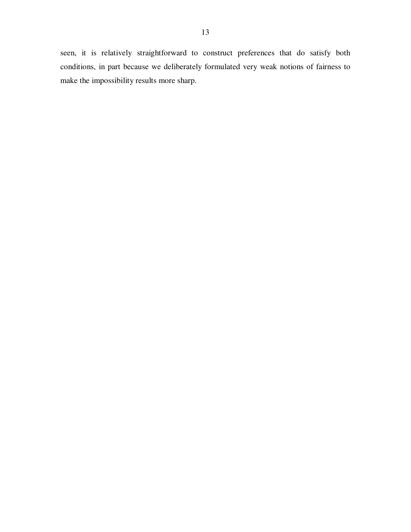seen, it is relatively straightforward to construct preferences that do satisfy both conditions, in part because we deliberately formulated very weak notions of fairness to make the impossibility results more sharp.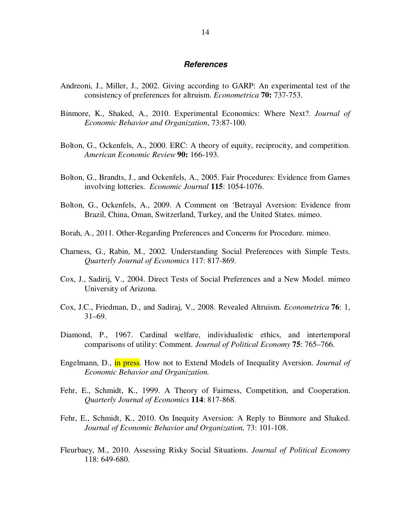#### **References**

- Andreoni, J., Miller, J., 2002. Giving according to GARP: An experimental test of the consistency of preferences for altruism. *Econometrica* **70:** 737-753.
- Binmore, K., Shaked, A., 2010. Experimental Economics: Where Next?. *Journal of Economic Behavior and Organization*, 73:87-100.
- Bolton, G., Ockenfels, A., 2000. ERC: A theory of equity, reciprocity, and competition. *American Economic Review* **90:** 166-193.
- Bolton, G., Brandts, J., and Ockenfels, A., 2005. Fair Procedures: Evidence from Games involving lotteries. *Economic Journal* **115**: 1054-1076.
- Bolton, G., Ockenfels, A., 2009. A Comment on 'Betrayal Aversion: Evidence from Brazil, China, Oman, Switzerland, Turkey, and the United States. mimeo.
- Borah, A., 2011. Other-Regarding Preferences and Concerns for Procedure. mimeo.
- Charness, G., Rabin, M., 2002. Understanding Social Preferences with Simple Tests. *Quarterly Journal of Economics* 117: 817-869.
- Cox, J., Sadirij, V., 2004. Direct Tests of Social Preferences and a New Model. mimeo University of Arizona.
- Cox, J.C., Friedman, D., and Sadiraj, V., 2008. Revealed Altruism. *Econometrica* **76**: 1, 31–69.
- Diamond, P., 1967. Cardinal welfare, individualistic ethics, and intertemporal comparisons of utility: Comment*. Journal of Political Economy* **75**: 765–766.
- Engelmann, D., in press. How not to Extend Models of Inequality Aversion. *Journal of Economic Behavior and Organization.*
- Fehr, E., Schmidt, K., 1999. A Theory of Fairness, Competition, and Cooperation. *Quarterly Journal of Economics* **114**: 817-868.
- Fehr, E., Schmidt, K., 2010. On Inequity Aversion: A Reply to Binmore and Shaked. *Journal of Economic Behavior and Organization,* 73: 101-108.
- Fleurbaey, M., 2010. Assessing Risky Social Situations. *Journal of Political Economy*  118: 649-680.